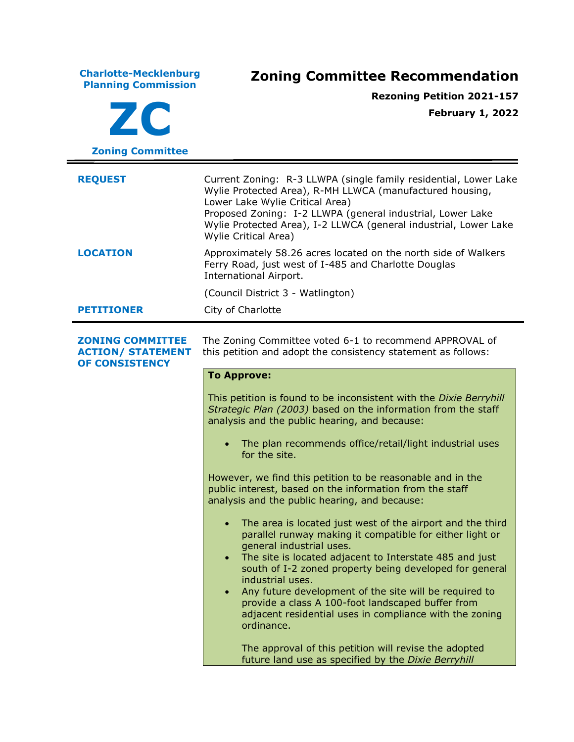**Charlotte-Mecklenburg Planning Commission Zoning Committee Recommendation ZC Zoning Committee Rezoning Petition 2021-157 February 1, 2022 REQUEST** Current Zoning: R-3 LLWPA (single family residential, Lower Lake Wylie Protected Area), R-MH LLWCA (manufactured housing, Lower Lake Wylie Critical Area) Proposed Zoning: I-2 LLWPA (general industrial, Lower Lake Wylie Protected Area), I-2 LLWCA (general industrial, Lower Lake Wylie Critical Area) **LOCATION** Approximately 58.26 acres located on the north side of Walkers Ferry Road, just west of I-485 and Charlotte Douglas International Airport. (Council District 3 - Watlington) **PETITIONER** City of Charlotte **ZONING COMMITTEE ACTION/ STATEMENT OF CONSISTENCY** The Zoning Committee voted 6-1 to recommend APPROVAL of this petition and adopt the consistency statement as follows: **To Approve:** This petition is found to be inconsistent with the *Dixie Berryhill Strategic Plan (2003)* based on the information from the staff analysis and the public hearing, and because: • The plan recommends office/retail/light industrial uses for the site. However, we find this petition to be reasonable and in the public interest, based on the information from the staff analysis and the public hearing, and because: • The area is located just west of the airport and the third parallel runway making it compatible for either light or general industrial uses. • The site is located adjacent to Interstate 485 and just south of I-2 zoned property being developed for general industrial uses. • Any future development of the site will be required to provide a class A 100-foot landscaped buffer from adjacent residential uses in compliance with the zoning ordinance. The approval of this petition will revise the adopted future land use as specified by the *Dixie Berryhill*